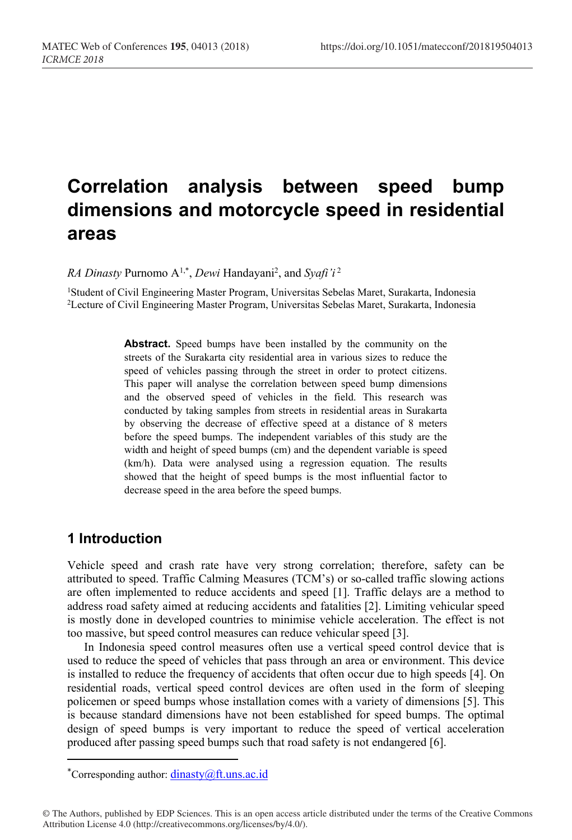# **Correlation analysis between speed bump dimensions and motorcycle speed in residential areas**

*RA Dinasty* Purnomo A<sup>1,\*</sup>, *Dewi* Handayani<sup>2</sup>, and *Syafi* 'i<sup>2</sup>

<sup>1</sup>Student of Civil Engineering Master Program, Universitas Sebelas Maret, Surakarta, Indonesia<br><sup>2</sup>Lecture of Civil Engineering Master Program, Universitas Sebelas Maret, Surakarta, Indonesia

**Abstract.** Speed bumps have been installed by the community on the streets of the Surakarta city residential area in various sizes to reduce the speed of vehicles passing through the street in order to protect citizens. This paper will analyse the correlation between speed bump dimensions and the observed speed of vehicles in the field. This research was conducted by taking samples from streets in residential areas in Surakarta by observing the decrease of effective speed at a distance of 8 meters before the speed bumps. The independent variables of this study are the width and height of speed bumps (cm) and the dependent variable is speed (km/h). Data were analysed using a regression equation. The results showed that the height of speed bumps is the most influential factor to decrease speed in the area before the speed bumps.

## **1 Introduction**

ł

Vehicle speed and crash rate have very strong correlation; therefore, safety can be attributed to speed. Traffic Calming Measures (TCM's) or so-called traffic slowing actions are often implemented to reduce accidents and speed [1]. Traffic delays are a method to address road safety aimed at reducing accidents and fatalities [2]. Limiting vehicular speed is mostly done in developed countries to minimise vehicle acceleration. The effect is not too massive, but speed control measures can reduce vehicular speed [3].

In Indonesia speed control measures often use a vertical speed control device that is used to reduce the speed of vehicles that pass through an area or environment. This device is installed to reduce the frequency of accidents that often occur due to high speeds [4]. On residential roads, vertical speed control devices are often used in the form of sleeping policemen or speed bumps whose installation comes with a variety of dimensions [5]. This is because standard dimensions have not been established for speed bumps. The optimal design of speed bumps is very important to reduce the speed of vertical acceleration produced after passing speed bumps such that road safety is not endangered [6].

<sup>\*</sup>Corresponding author:  $\frac{d\text{inasty}(\hat{a})}{dt}$ .uns.ac.id

<sup>©</sup> The Authors, published by EDP Sciences. This is an open access article distributed under the terms of the Creative Commons Attribution License 4.0 (http://creativecommons.org/licenses/by/4.0/).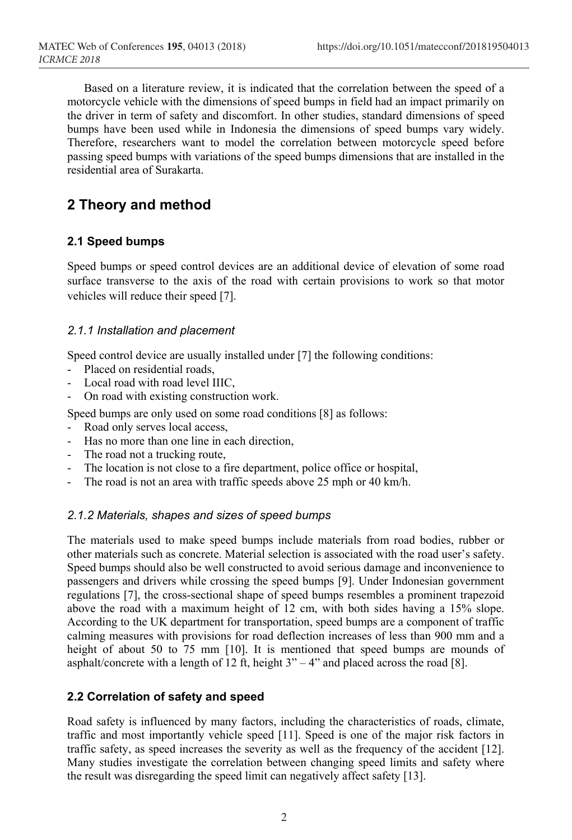Based on a literature review, it is indicated that the correlation between the speed of a motorcycle vehicle with the dimensions of speed bumps in field had an impact primarily on the driver in term of safety and discomfort. In other studies, standard dimensions of speed bumps have been used while in Indonesia the dimensions of speed bumps vary widely. Therefore, researchers want to model the correlation between motorcycle speed before passing speed bumps with variations of the speed bumps dimensions that are installed in the residential area of Surakarta.

# **2 Theory and method**

#### **2.1 Speed bumps**

Speed bumps or speed control devices are an additional device of elevation of some road surface transverse to the axis of the road with certain provisions to work so that motor vehicles will reduce their speed [7].

#### *2.1.1 Installation and placement*

Speed control device are usually installed under [7] the following conditions:

- Placed on residential roads,
- Local road with road level IIIC,
- On road with existing construction work.

Speed bumps are only used on some road conditions [8] as follows:

- Road only serves local access,
- Has no more than one line in each direction,
- The road not a trucking route,
- The location is not close to a fire department, police office or hospital,
- The road is not an area with traffic speeds above 25 mph or 40 km/h.

#### *2.1.2 Materials, shapes and sizes of speed bumps*

The materials used to make speed bumps include materials from road bodies, rubber or other materials such as concrete. Material selection is associated with the road user's safety. Speed bumps should also be well constructed to avoid serious damage and inconvenience to passengers and drivers while crossing the speed bumps [9]. Under Indonesian government regulations [7], the cross-sectional shape of speed bumps resembles a prominent trapezoid above the road with a maximum height of 12 cm, with both sides having a 15% slope. According to the UK department for transportation, speed bumps are a component of traffic calming measures with provisions for road deflection increases of less than 900 mm and a height of about 50 to 75 mm [10]. It is mentioned that speed bumps are mounds of asphalt/concrete with a length of  $\overline{12}$  ft, height  $3" - 4"$  and placed across the road [8].

### **2.2 Correlation of safety and speed**

Road safety is influenced by many factors, including the characteristics of roads, climate, traffic and most importantly vehicle speed [11]. Speed is one of the major risk factors in traffic safety, as speed increases the severity as well as the frequency of the accident [12]. Many studies investigate the correlation between changing speed limits and safety where the result was disregarding the speed limit can negatively affect safety [13].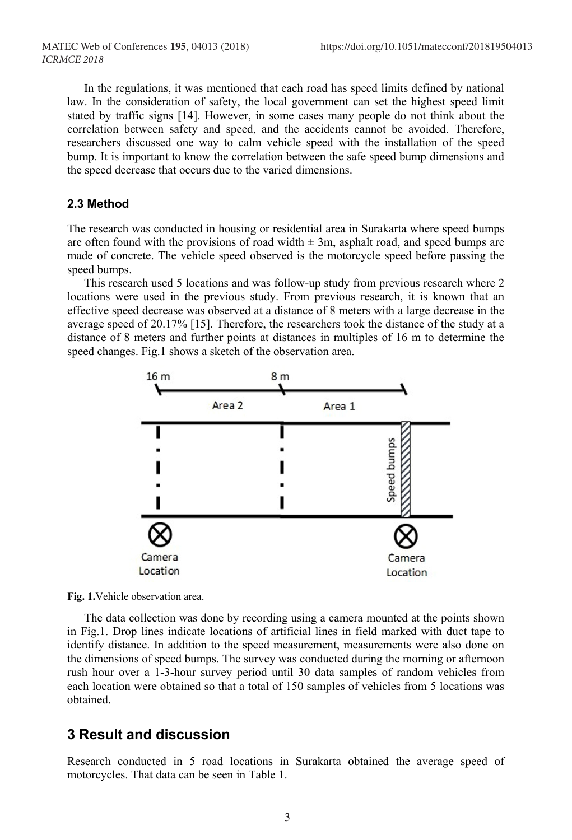In the regulations, it was mentioned that each road has speed limits defined by national law. In the consideration of safety, the local government can set the highest speed limit stated by traffic signs [14]. However, in some cases many people do not think about the correlation between safety and speed, and the accidents cannot be avoided. Therefore, researchers discussed one way to calm vehicle speed with the installation of the speed bump. It is important to know the correlation between the safe speed bump dimensions and the speed decrease that occurs due to the varied dimensions.

## **2.3 Method**

The research was conducted in housing or residential area in Surakarta where speed bumps are often found with the provisions of road width  $\pm 3m$ , asphalt road, and speed bumps are made of concrete. The vehicle speed observed is the motorcycle speed before passing the speed bumps.

This research used 5 locations and was follow-up study from previous research where 2 locations were used in the previous study. From previous research, it is known that an effective speed decrease was observed at a distance of 8 meters with a large decrease in the average speed of 20.17% [15]. Therefore, the researchers took the distance of the study at a distance of 8 meters and further points at distances in multiples of 16 m to determine the speed changes. Fig.1 shows a sketch of the observation area.





The data collection was done by recording using a camera mounted at the points shown in Fig.1. Drop lines indicate locations of artificial lines in field marked with duct tape to identify distance. In addition to the speed measurement, measurements were also done on the dimensions of speed bumps. The survey was conducted during the morning or afternoon rush hour over a 1-3-hour survey period until 30 data samples of random vehicles from each location were obtained so that a total of 150 samples of vehicles from 5 locations was obtained.

# **3 Result and discussion**

Research conducted in 5 road locations in Surakarta obtained the average speed of motorcycles. That data can be seen in Table 1.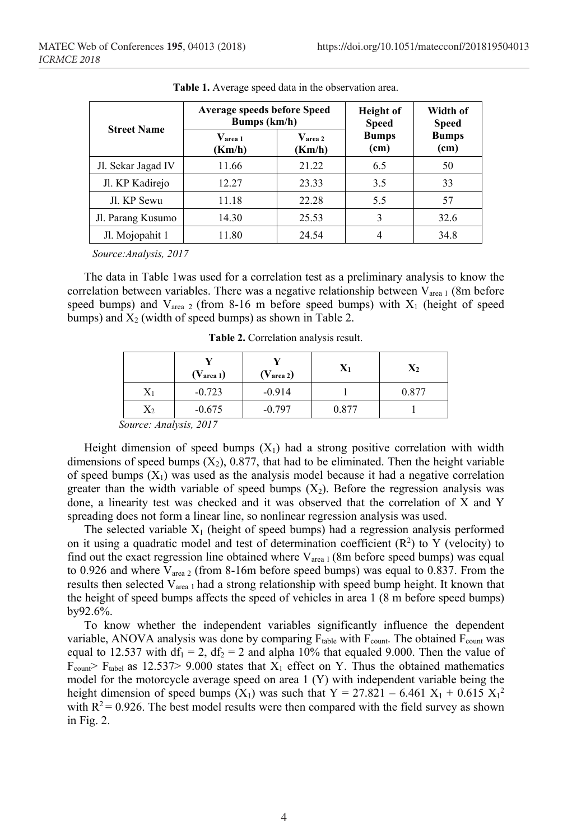| <b>Street Name</b> | <b>Average speeds before Speed</b><br>Bumps (km/h) |                                  | <b>Height</b> of<br><b>Speed</b> | Width of<br><b>Speed</b> |
|--------------------|----------------------------------------------------|----------------------------------|----------------------------------|--------------------------|
|                    | $\mathbf{V_{area}}$ 1<br>(Km/h)                    | $\mathbf{V_{area\ 2}}$<br>(Km/h) | <b>Bumps</b><br>(cm)             | <b>Bumps</b><br>(cm)     |
| Jl. Sekar Jagad IV | 11.66                                              | 21.22                            | 6.5                              | 50                       |
| Jl. KP Kadirejo    | 12.27                                              | 23.33                            | 3.5                              | 33                       |
| Jl. KP Sewu        | 11.18                                              | 22.28                            | 5.5                              | 57                       |
| Jl. Parang Kusumo  | 14.30                                              | 25.53                            | 3                                | 32.6                     |
| Jl. Mojopahit 1    | 11.80                                              | 24.54                            |                                  | 34.8                     |

**Table 1.** Average speed data in the observation area.

*Source:Analysis, 2017*

The data in Table 1was used for a correlation test as a preliminary analysis to know the correlation between variables. There was a negative relationship between  $V_{area 1}$  (8m before speed bumps) and  $V_{area 2}$  (from 8-16 m before speed bumps) with  $X_1$  (height of speed bumps) and  $X_2$  (width of speed bumps) as shown in Table 2.

|                | $(V_{area 1})$ | $(V_{area 2})$ | $\mathbf{X}_1$ | $X_2$ |
|----------------|----------------|----------------|----------------|-------|
| $\mathrm{X}_1$ | $-0.723$       | $-0.914$       |                | 0.877 |
| $\rm X_2$      | $-0.675$       | $-0.797$       | 0.877          |       |
|                | $2017$<br>٠    |                |                |       |

**Table 2.** Correlation analysis result.

*Source: Analysis, 2017*

Height dimension of speed bumps  $(X_1)$  had a strong positive correlation with width dimensions of speed bumps  $(X_2)$ , 0.877, that had to be eliminated. Then the height variable of speed bumps  $(X_1)$  was used as the analysis model because it had a negative correlation greater than the width variable of speed bumps  $(X_2)$ . Before the regression analysis was done, a linearity test was checked and it was observed that the correlation of X and Y spreading does not form a linear line, so nonlinear regression analysis was used.

The selected variable  $X_1$  (height of speed bumps) had a regression analysis performed on it using a quadratic model and test of determination coefficient  $(R^2)$  to Y (velocity) to find out the exact regression line obtained where  $V_{area 1}$  (8m before speed bumps) was equal to 0.926 and where  $V_{area 2}$  (from 8-16m before speed bumps) was equal to 0.837. From the results then selected  $V_{area 1}$  had a strong relationship with speed bump height. It known that the height of speed bumps affects the speed of vehicles in area 1 (8 m before speed bumps) by92.6%.

To know whether the independent variables significantly influence the dependent variable, ANOVA analysis was done by comparing  $F_{table}$  with  $F_{count}$ . The obtained  $F_{count}$  was equal to 12.537 with  $df_1 = 2$ ,  $df_2 = 2$  and alpha 10% that equaled 9.000. Then the value of  $F_{\text{coun}}$  F<sub>tabel</sub> as 12.537> 9.000 states that  $X_1$  effect on Y. Thus the obtained mathematics model for the motorcycle average speed on area  $1(Y)$  with independent variable being the height dimension of speed bumps  $(X_1)$  was such that  $Y = 27.821 - 6.461 X_1 + 0.615 X_1^2$ with  $R^2$  = 0.926. The best model results were then compared with the field survey as shown in Fig. 2.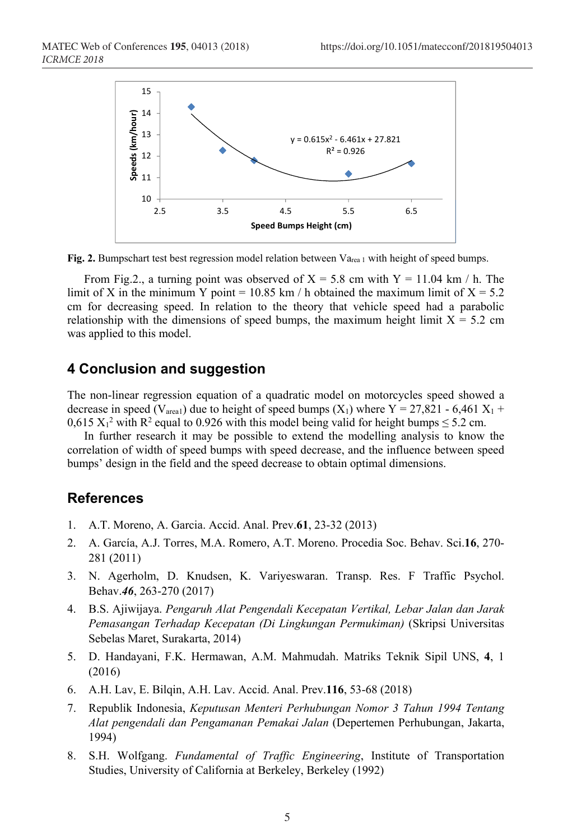

**Fig. 2.** Bumpschart test best regression model relation between Va<sub>rea 1</sub> with height of speed bumps.

From Fig.2., a turning point was observed of  $X = 5.8$  cm with  $Y = 11.04$  km / h. The limit of X in the minimum Y point = 10.85 km / h obtained the maximum limit of  $X = 5.2$ cm for decreasing speed. In relation to the theory that vehicle speed had a parabolic relationship with the dimensions of speed bumps, the maximum height limit  $X = 5.2$  cm was applied to this model.

## **4 Conclusion and suggestion**

The non-linear regression equation of a quadratic model on motorcycles speed showed a decrease in speed (V<sub>area1</sub>) due to height of speed bumps (X<sub>1</sub>) where Y = 27,821 - 6,461 X<sub>1</sub> +  $0.615 \text{ X}_1^2$  with R<sup>2</sup> equal to 0.926 with this model being valid for height bumps  $\leq$  5.2 cm.

In further research it may be possible to extend the modelling analysis to know the correlation of width of speed bumps with speed decrease, and the influence between speed bumps' design in the field and the speed decrease to obtain optimal dimensions.

## **References**

- 1. A.T. Moreno, A. Garcia. Accid. Anal. Prev.**61**, 23-32 (2013)
- 2. A. García, A.J. Torres, M.A. Romero, A.T. Moreno. Procedia Soc. Behav. Sci.**16**, 270- 281 (2011)
- 3. N. Agerholm, D. Knudsen, K. Variyeswaran. Transp. Res. F Traffic Psychol. Behav.*46*, 263-270 (2017)
- 4. B.S. Ajiwijaya. *Pengaruh Alat Pengendali Kecepatan Vertikal, Lebar Jalan dan Jarak Pemasangan Terhadap Kecepatan (Di Lingkungan Permukiman)* (Skripsi Universitas Sebelas Maret, Surakarta, 2014)
- 5. D. Handayani, F.K. Hermawan, A.M. Mahmudah. Matriks Teknik Sipil UNS, **4**, 1 (2016)
- 6. A.H. Lav, E. Bilqin, A.H. Lav. Accid. Anal. Prev.**116**, 53-68 (2018)
- 7. Republik Indonesia, *Keputusan Menteri Perhubungan Nomor 3 Tahun 1994 Tentang Alat pengendali dan Pengamanan Pemakai Jalan* (Depertemen Perhubungan, Jakarta, 1994)
- 8. S.H. Wolfgang. *Fundamental of Traffic Engineering*, Institute of Transportation Studies, University of California at Berkeley, Berkeley (1992)